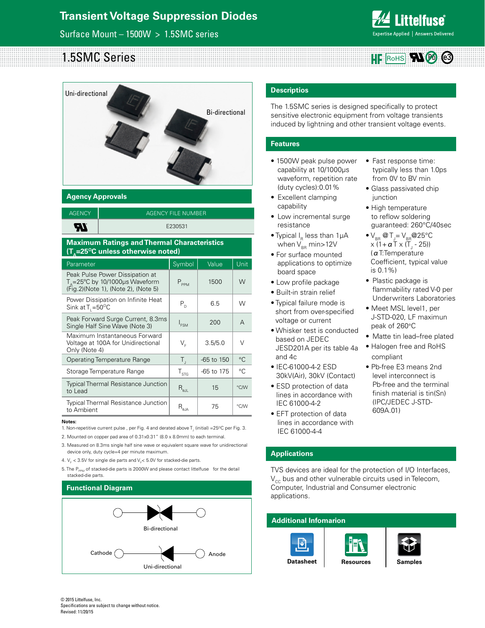## Surface Mount – 1500W > 1.5SMC series



#### 1.5SMC Series  $HF$  Rohs  $\blacktriangledown$



## **Agency Approvals**

| <b>AGENCY</b> | AGENCY FILE NUMBER |
|---------------|--------------------|
| 77            | E230531            |

### **Maximum Ratings and Thermal Characteristics (T<sub>s</sub>=25<sup>o</sup>C unless otherwise noted)**

| Parameter                                                                                                              | Symbol                                           | Value        | Unit        |
|------------------------------------------------------------------------------------------------------------------------|--------------------------------------------------|--------------|-------------|
| Peak Pulse Power Dissipation at<br>$T_A = 25^{\circ}$ C by 10/1000µs Waveform<br>(Fig. 2) (Note 1), (Note 2), (Note 5) | $P_{PPM}$                                        | 1500         | W           |
| Power Dissipation on Infinite Heat<br>Sink at $T_i = 50^{\circ}C$                                                      | $P_{D}$                                          | 6.5          | W           |
| Peak Forward Surge Current, 8.3ms<br>Single Half Sine Wave (Note 3)                                                    | $I_{FSM}$                                        | 200          | A           |
| Maximum Instantaneous Forward<br>Voltage at 100A for Unidirectional<br>Only (Note 4)                                   | $\mathsf{V}_{\scriptscriptstyle{\sf E}}$         | 3.5/5.0      | $\vee$      |
| Operating Temperature Range                                                                                            | $T_{\rm d}$                                      | $-65$ to 150 | °C          |
| Storage Temperature Range                                                                                              | $T_{\text{STG}}$                                 | -65 to 175   | $^{\circ}C$ |
| <b>Typical Thermal Resistance Junction</b><br>to Lead                                                                  | $R_{\text{\tiny{6JL}}}$                          | 15           | °C/W        |
| <b>Typical Thermal Resistance Junction</b><br>to Ambient                                                               | $\mathsf{R}_{_{\boldsymbol{\theta}\mathsf{JA}}}$ | 75           | °C/W        |

#### **Notes:**

1. Non-repetitive current pulse , per Fig. 4 and derated above  $T_{\rm j}$  (initial) =25<sup>o</sup>C per Fig. 3.

2. Mounted on copper pad area of 0.31x0.31" (8.0 x 8.0mm) to each terminal.

3. Measured on 8.3ms single half sine wave or equivalent square wave for unidirectional device only, duty cycle=4 per minute maximum.

- 4.  $V_F$  < 3.5V for single die parts and  $V_F$ < 5.0V for stacked-die parts.
- 5. The P<sub>PPM</sub> of stacked-die parts is 2000W and please contact littelfuse for the detail stacked-die parts.





### **Descriptios**

The 1.5SMC series is designed specifically to protect sensitive electronic equipment from voltage transients induced by lightning and other transient voltage events.

## **Features**

- 1500W peak pulse power capability at 10/1000μs waveform, repetition rate (duty cycles):0.01%
- Excellent clamping capability
- Low incremental surge resistance
- Typical  $I_R$  less than 1µA when  $V_{BR}$  min > 12V
- For surface mounted
- applications to optimize board space
- Low profile package
- Built-in strain relief
- Typical failure mode is short from over-specified voltage or current
- Whisker test is conducted based on JEDEC JESD201A per its table 4a and 4c
- IEC-61000-4-2 ESD 30kV(Air), 30kV (Contact)
- ESD protection of data lines in accordance with IEC 61000-4-2
- EFT protection of data lines in accordance with IEC 61000-4-4

## **Applications**

TVS devices are ideal for the protection of I/O Interfaces,  $V_{cc}$  bus and other vulnerable circuits used in Telecom, Computer, Industrial and Consumer electronic applications.



• High temperature to reflow soldering guaranteed: 260°C/40sec

• Fast response time: typically less than 1.0ps from 0V to BV min • Glass passivated chip

junction

- $\bullet$  V<sub>BR</sub> @ T<sub>J</sub>= V<sub>BR</sub> @ 25°C x (1+ **α** Τ x (Τ<sub>յ</sub> - 25)) (αT:Temperature Coefficient, typical value is 0.1%)
- Plastic package is flammability rated V-0 per Underwriters Laboratories
- Meet MSL level1, per J-STD-020, LF maximun peak of 260°C
- Matte tin lead–free plated
- Halogen free and RoHS compliant
- Pb-free E3 means 2nd level interconnect is Pb-free and the terminal finish material is tin(Sn) (IPC/JEDEC J-STD-609A.01)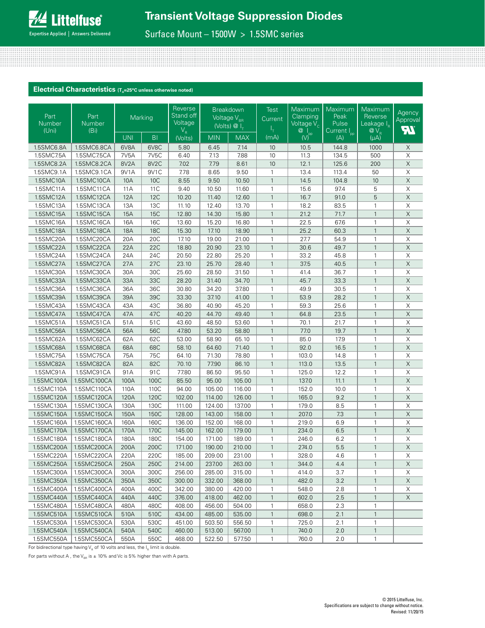Surface Mount – 1500W > 1.5SMC series

## **Electrical Characteristics** (T<sub>A</sub>=25°C unless otherwise noted)

| Part<br><b>Number</b><br>(Uni) | Part<br><b>Number</b><br>(Bi) |                   | Marking           | Reverse<br>Stand off<br>Voltage<br>$V_R$ |            | <b>Breakdown</b><br>Voltage $\overline{V_{_{\rm BR}}}$<br>(Volts) $\overline{\omega}$ I <sub>T</sub> | Test<br>Current<br>ı+ | Maximum<br>Clamping<br>Voltage $V_c$                                                    | Maximum<br>Peak<br>Pulse<br>Current I <sub>pp</sub> | Maximum<br>Reverse<br>Leakage I <sub>R</sub><br>$@V_R$ | Agency<br>Approval<br><b>HI</b> |
|--------------------------------|-------------------------------|-------------------|-------------------|------------------------------------------|------------|------------------------------------------------------------------------------------------------------|-----------------------|-----------------------------------------------------------------------------------------|-----------------------------------------------------|--------------------------------------------------------|---------------------------------|
|                                |                               | <b>UNI</b>        | BI                | (Volts)                                  | <b>MIN</b> | <b>MAX</b>                                                                                           | (mA)                  | $\overline{\overset{\bigcirc}{\mathcal{O}}\underset{(\bigvee)^{\mathrm{pp}}}{\bigvee}}$ | (A)                                                 | $(\mu A)$                                              |                                 |
| 1.5SMC6.8A                     | 1.5SMC6.8CA                   | 6V8A              | 6V8C              | 5.80                                     | 6.45       | 7.14                                                                                                 | 10                    | 10.5                                                                                    | 144.8                                               | 1000                                                   | X                               |
| 1.5SMC7.5A                     | 1.5SMC7.5CA                   | 7V <sub>5</sub> A | 7V <sub>5</sub> C | 6.40                                     | 7.13       | 7.88                                                                                                 | 10                    | 11.3                                                                                    | 134.5                                               | 500                                                    | X                               |
| 1.5SMC8.2A                     | 1.5SMC8.2CA                   | 8V2A              | 8V <sub>2</sub> C | 7.02                                     | 7.79       | 8.61                                                                                                 | 10                    | 12.1                                                                                    | 125.6                                               | 200                                                    | $\mathsf X$                     |
| 1.5SMC9.1A                     | 1.5SMC9.1CA                   | 9V1A              | 9V1C              | 7.78                                     | 8.65       | 9.50                                                                                                 | $\mathbf{1}$          | 13.4                                                                                    | 113.4                                               | 50                                                     | $\overline{X}$                  |
| 1.5SMC10A                      | 1.5SMC10CA                    | 10A               | <b>10C</b>        | 8.55                                     | 9.50       | 10.50                                                                                                | $\mathbf{1}$          | 14.5                                                                                    | 104.8                                               | 10                                                     | $\overline{\mathsf{X}}$         |
| 1.5SMC11A                      | 1.5SMC11CA                    | 11A               | 11 C              | 9.40                                     | 10.50      | 11.60                                                                                                | $\mathbf{1}$          | 15.6                                                                                    | 97.4                                                | 5                                                      | $\mathsf X$                     |
| 1.5SMC12A                      | 1.5SMC12CA                    | 12A               | 12C               | 10.20                                    | 11.40      | 12.60                                                                                                | $\mathbf{1}$          | 16.7                                                                                    | 91.0                                                | 5                                                      | $\overline{\mathsf{X}}$         |
| 1.5SMC13A                      | 1.5SMC13CA                    | 13A               | 13C               | 11.10                                    | 12.40      | 13.70                                                                                                | $\mathbf{1}$          | 18.2                                                                                    | 83.5                                                | $\mathbf{1}$                                           | $\overline{\mathsf{x}}$         |
| 1.5SMC15A                      | 1.5SMC15CA                    | 15A               | <b>15C</b>        | 12.80                                    | 14.30      | 15.80                                                                                                | $\mathbf{1}$          | 21.2                                                                                    | 71.7                                                | $\mathbf{1}$                                           | $\overline{\mathsf{X}}$         |
| 1.5SMC16A                      | 1.5SMC16CA                    | 16A               | 16C               | 13.60                                    | 15.20      | 16.80                                                                                                | 1                     | 22.5                                                                                    | 67.6                                                | $\mathbf{1}$                                           | $\mathsf X$                     |
| 1.5SMC18A                      | 1.5SMC18CA                    | <b>18A</b>        | <b>18C</b>        | 15.30                                    | 17.10      | 18.90                                                                                                | $\mathbf{1}$          | 25.2                                                                                    | 60.3                                                | $\mathbf{1}$                                           | $\overline{\mathsf{X}}$         |
| 1.5SMC20A                      | 1.5SMC20CA                    | 20A               | 20C               | 17.10                                    | 19.00      | 21.00                                                                                                | $\mathbf{1}$          | 27.7                                                                                    | 54.9                                                | $\mathbf{1}$                                           | $\overline{\mathsf{x}}$         |
| 1.5SMC22A                      | 1.5SMC22CA                    | 22A               | 22C               | 18.80                                    | 20.90      | 23.10                                                                                                | $\mathbf{1}$          | 30.6                                                                                    | 49.7                                                | $\mathbf{1}$                                           | $\overline{\mathsf{X}}$         |
| 1.5SMC24A                      | 1.5SMC24CA                    | 24A               | 24C               | 20.50                                    | 22.80      | 25.20                                                                                                | $\mathbf{1}$          | 33.2                                                                                    | 45.8                                                | $\mathbf{1}$                                           | $\mathsf X$                     |
| 1.5SMC27A                      | 1.5SMC27CA                    | 27A               | 27C               | 23.10                                    | 25.70      | 28.40                                                                                                | $\mathbf{1}$          | 37.5                                                                                    | 40.5                                                | $\mathbf{1}$                                           | $\overline{\mathsf{X}}$         |
| 1.5SMC30A                      | 1.5SMC30CA                    | 30A               | 30C               | 25.60                                    | 28.50      | 31.50                                                                                                | 1                     | 41.4                                                                                    | 36.7                                                | $\mathbf{1}$                                           | $\overline{X}$                  |
| 1.5SMC33A                      | 1.5SMC33CA                    | 33A               | 33C               | 28.20                                    | 31.40      | 34.70                                                                                                | $\mathbf{1}$          | 45.7                                                                                    | 33.3                                                | $\mathbf{1}$                                           | $\overline{\mathsf{X}}$         |
| 1.5SMC36A                      | 1.5SMC36CA                    | 36A               | 36C               | 30.80                                    | 34.20      | 37.80                                                                                                | $\mathbf{1}$          | 49.9                                                                                    | 30.5                                                | $\mathbf{1}$                                           | X                               |
| 1.5SMC39A                      | 1.5SMC39CA                    | 39A               | 39C               | 33.30                                    | 37.10      | 41.00                                                                                                | $\mathbf{1}$          | 53.9                                                                                    | 28.2                                                | $\mathbf{1}$                                           | $\overline{\mathsf{X}}$         |
| 1.5SMC43A                      | 1.5SMC43CA                    | 43A               | 43C               | 36.80                                    | 40.90      | 45.20                                                                                                | 1                     | 59.3                                                                                    | 25.6                                                | $\mathbf{1}$                                           | $\mathsf X$                     |
| 1.5SMC47A                      | 1.5SMC47CA                    | 47A               | 47C               | 40.20                                    | 44.70      | 49.40                                                                                                | $\mathbf{1}$          | 64.8                                                                                    | 23.5                                                | $\mathbf{1}$                                           | $\mathsf X$                     |
| 1.5SMC51A                      | 1.5SMC51CA                    | 51A               | 51C               | 43.60                                    | 48.50      | 53.60                                                                                                | $\mathbf{1}$          | 70.1                                                                                    | 21.7                                                | $\mathbf{1}$                                           | $\mathsf X$                     |
| 1.5SMC56A                      | 1.5SMC56CA                    | 56A               | 56C               | 47.80                                    | 53.20      | 58.80                                                                                                | $\mathbf{1}$          | 77.0                                                                                    | 19.7                                                | $\mathbf{1}$                                           | $\mathsf X$                     |
| 1.5SMC62A                      | 1.5SMC62CA                    | 62A               | 62C               | 53.00                                    | 58.90      | 65.10                                                                                                | 1                     | 85.0                                                                                    | 17.9                                                | $\mathbf{1}$                                           | $\overline{X}$                  |
| 1.5SMC68A                      | 1.5SMC68CA                    | 68A               | 68C               | 58.10                                    | 64.60      | 71.40                                                                                                | $\mathbf{1}$          | 92.0                                                                                    | 16.5                                                | $\mathbf{1}$                                           | $\mathsf X$                     |
| 1.5SMC75A                      | 1.5SMC75CA                    | 75A               | 75C               | 64.10                                    | 71.30      | 78.80                                                                                                | 1                     | 103.0                                                                                   | 14.8                                                | $\mathbf{1}$                                           | $\mathsf X$                     |
| 1.5SMC82A                      | 1.5SMC82CA                    | 82A               | 82C               | 70.10                                    | 77.90      | 86.10                                                                                                | $\mathbf{1}$          | 113.0                                                                                   | 13.5                                                | $\mathbf{1}$                                           | $\mathsf X$                     |
| 1.5SMC91A                      | 1.5SMC91CA                    | 91A               | 91C               | 77.80                                    | 86.50      | 95.50                                                                                                | 1                     | 125.0                                                                                   | 12.2                                                | 1                                                      | $\mathsf X$                     |
| 1.5SMC100A                     | 1.5SMC100CA                   | 100A              | 100C              | 85.50                                    | 95.00      | 105.00                                                                                               | $\mathbf{1}$          | 137.0                                                                                   | 11.1                                                | $\mathbf{1}$                                           | $\mathsf X$                     |
| 1.5SMC110A                     | 1.5SMC110CA                   | 110A              | 110C              | 94.00                                    | 105.00     | 116.00                                                                                               | $\mathbf{1}$          | 152.0                                                                                   | 10.0                                                | $\mathbf{1}$                                           | $\mathsf X$                     |
| 1.5SMC120A                     | 1.5SMC120CA                   | 120A              | 120C              | 102.00                                   | 114.00     | 126.00                                                                                               | $\mathbf{1}$          | 165.0                                                                                   | 9.2                                                 | $\mathbf{1}$                                           | $\mathsf X$                     |
| 1.5SMC130A                     | 1.5SMC130CA                   | 130A              | 130C              | 111.00                                   | 124.00     | 137.00                                                                                               | 1                     | 179.0                                                                                   | 8.5                                                 | $\mathbf{1}$                                           | $\overline{\mathsf{X}}$         |
| 1.5SMC150A                     | 1.5SMC150CA                   | 150A              | 150C              | 128.00                                   | 143.00     | 158.00                                                                                               | $\mathbf{1}$          | 207.0                                                                                   | 7.3                                                 | $\mathbf{1}$                                           | $\mathsf X$                     |
| 1.5SMC160A                     | 1.5SMC160CA                   | 160A              | 160C              | 136.00                                   | 152.00     | 168.00                                                                                               | 1                     | 219.0                                                                                   | 6.9                                                 | $\mathbf{1}$                                           | $\mathsf X$                     |
| 1.5SMC170A                     | 1.5SMC170CA                   | 170A              | 170C              | 145.00                                   | 162.00     | 179.00                                                                                               | $\mathbf{1}$          | 234.0                                                                                   | 6.5                                                 | $\mathbf{1}$                                           | $\overline{\mathsf{X}}$         |
| 1.5SMC180A                     | 1.5SMC180CA                   | 180A              | 180C              | 154.00                                   | 171.00     | 189.00                                                                                               | 1                     | 246.0                                                                                   | 6.2                                                 | 1                                                      | $\overline{\mathsf{X}}$         |
| 1.5SMC200A                     | 1.5SMC200CA                   | 200A              | 200C              | 171.00                                   | 190.00     | 210.00                                                                                               | $\mathbf{1}$          | 274.0                                                                                   | 5.5                                                 | $\mathbf{1}$                                           | $\overline{\mathsf{X}}$         |
| 1.5SMC220A                     | 1.5SMC220CA                   | 220A              | 220C              | 185.00                                   | 209.00     | 231.00                                                                                               | 1                     | 328.0                                                                                   | 4.6                                                 | 1                                                      | Χ                               |
| 1.5SMC250A                     | 1.5SMC250CA                   | 250A              | 250C              | 214.00                                   | 237.00     | 263.00                                                                                               | $\mathbf{1}$          | 344.0                                                                                   | 4.4                                                 | $\mathbf{1}$                                           | $\mathsf X$                     |
| 1.5SMC300A                     | 1.5SMC300CA                   | 300A              | 300C              | 256.00                                   | 285.00     | 315.00                                                                                               | 1                     | 414.0                                                                                   | 3.7                                                 | 1                                                      | Χ                               |
| 1.5SMC350A                     | 1.5SMC350CA                   | 350A              | 350C              | 300.00                                   | 332.00     | 368.00                                                                                               | $\mathbf{1}$          | 482.0                                                                                   | 3.2                                                 | $\mathbf{1}$                                           | $\mathsf X$                     |
| 1.5SMC400A                     | 1.5SMC400CA                   | 400A              | 400C              | 342.00                                   | 380.00     | 420.00                                                                                               | 1                     | 548.0                                                                                   | 2.8                                                 | 1                                                      | Χ                               |
| 1.5SMC440A                     | 1.5SMC440CA                   | 440A              | 440C              | 376.00                                   | 418.00     | 462.00                                                                                               | 1                     | 602.0                                                                                   | 2.5                                                 | $\mathbf{1}$                                           | X                               |
| 1.5SMC480A                     | 1.5SMC480CA                   | 480A              | 480C              | 408.00                                   | 456.00     | 504.00                                                                                               | 1                     | 658.0                                                                                   | 2.3                                                 | 1                                                      |                                 |
| 1.5SMC510A                     | 1.5SMC510CA                   | 510A              | 510C              | 434.00                                   | 485.00     | 535.00                                                                                               | $\mathbf{1}$          | 698.0                                                                                   | 2.1                                                 | $\mathbf{1}$                                           |                                 |
| 1.5SMC530A                     | 1.5SMC530CA                   | 530A              | 530C              | 451.00                                   | 503.50     | 556.50                                                                                               | 1                     | 725.0                                                                                   | 2.1                                                 | 1                                                      |                                 |
| 1.5SMC540A                     | 1.5SMC540CA                   | 540A              | 540C              | 460.00                                   | 513.00     | 567.00                                                                                               | $\mathbf{1}$          | 740.0                                                                                   | 2.0                                                 | $\mathbf{1}$                                           |                                 |
| 1.5SMC550A                     | 1.5SMC550CA                   | 550A              | 550C              | 468.00                                   | 522.50     | 577.50                                                                                               | $\mathbf{1}$          | 760.0                                                                                   | 2.0                                                 | $\mathbf{1}$                                           |                                 |
|                                |                               |                   |                   |                                          |            |                                                                                                      |                       |                                                                                         |                                                     |                                                        |                                 |

For bidirectional type having  $V_R$  of 10 volts and less, the  $I_R$  limit is double.

For parts without A, the V<sub>BR</sub> is  $\pm$  10% and Vc is 5% higher than with A parts.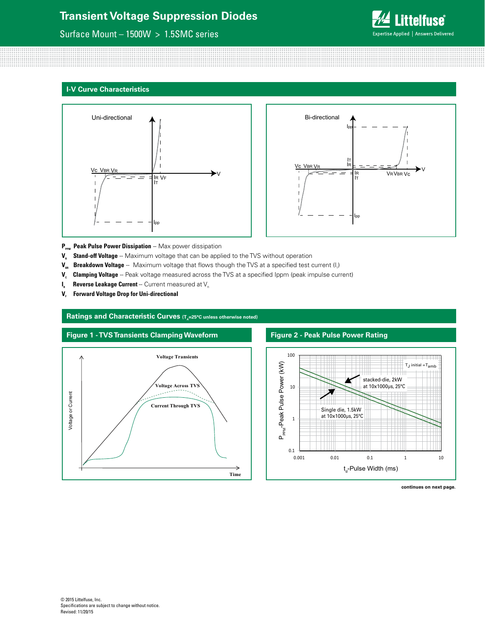## Surface Mount – 1500W > 1.5SMC series



#### **I-V Curve Characteristics**





- P<sub>PPM</sub> Peak Pulse Power Dissipation -- Max power dissipation
- **V<sub>R</sub>** Stand-off Voltage -- Maximum voltage that can be applied to the TVS without operation
- **V<sub>BR</sub> Breakdown Voltage** -- Maximum voltage that flows though the TVS at a specified test current (I<sub>r</sub>)
- V<sub>c</sub> Clamping Voltage -- Peak voltage measured across the TVS at a specified Ippm (peak impulse current)
- $I_{R}$  **Reverse Leakage Current** -- Current measured at  $V_{R}$
- **V<sub>F</sub>** Forward Voltage Drop for Uni-directional

#### **Ratings and Characteristic Curves (T<sub>1</sub>=25°C unless otherwise noted)**



### **Figure 2 - Peak Pulse Power Rating**



#### **continues on next page.**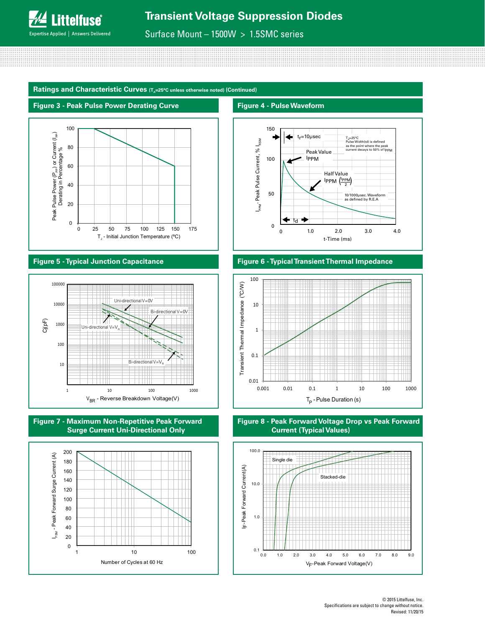

**Figure 4 - Pulse Waveform**

Surface Mount – 1500W > 1.5SMC series

Ratings and Characteristic Curves (T<sub>a</sub>=25°C unless otherwise noted) (Continued)



## **Figure 5 - Typical Junction Capacitance**















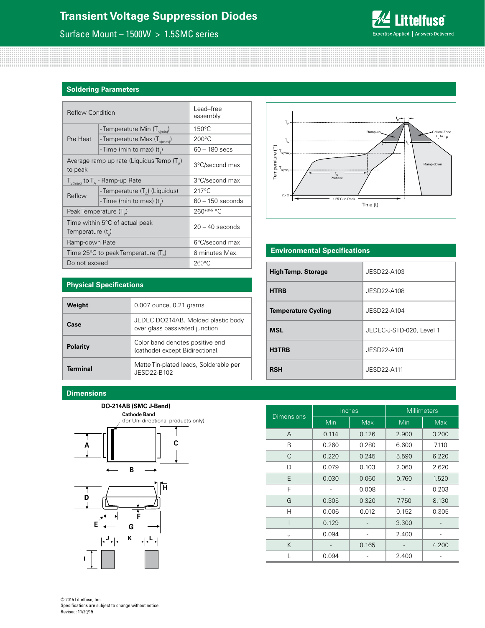## Surface Mount – 1500W > 1.5SMC series



## **Soldering Parameters**

| <b>Reflow Condition</b>            |                                                    | Lead-free<br>assembly |  |
|------------------------------------|----------------------------------------------------|-----------------------|--|
|                                    | - Temperature Min (T <sub>s(min</sub> )            | $150^{\circ}$ C       |  |
| Pre Heat                           | - Temperature Max (T <sub>s(max)</sub> )           | 200°C                 |  |
|                                    | - Time (min to max) (t)                            | $60 - 180$ secs       |  |
| to peak                            | Average ramp up rate (Liquidus Temp $(T_{\alpha})$ | 3°C/second max        |  |
|                                    | $T_{S(max)}$ to $T_A$ - Ramp-up Rate               | 3°C/second max        |  |
| Reflow                             | - Temperature $(T_a)$ (Liquidus)                   | $217^{\circ}$ C       |  |
|                                    | - Time (min to max) (t)                            | $60 - 150$ seconds    |  |
| Peak Temperature (T <sub>D</sub> ) |                                                    | 260+0/-5 °C           |  |
| Temperature $(t_{n})$              | Time within 5°C of actual peak                     | $20 - 40$ seconds     |  |
| Ramp-down Rate                     |                                                    | 6°C/second max        |  |
|                                    | Time 25°C to peak Temperature (T <sub>a</sub> )    | 8 minutes Max.        |  |
| Do not exceed                      |                                                    | $260^{\circ}$ C       |  |



## **Environmental Specifications**

| <b>High Temp. Storage</b>  | JESD22-A103              |
|----------------------------|--------------------------|
| <b>HTRB</b>                | JESD22-A108              |
| <b>Temperature Cycling</b> | JESD22-A104              |
| <b>MSL</b>                 | JEDEC-J-STD-020, Level 1 |
| H3TRB                      | JESD22-A101              |
| RSH                        | JESD22-A111              |

## **Physical Specifications**

| Weight          | 0.007 ounce, 0.21 grams                                              |
|-----------------|----------------------------------------------------------------------|
| Case            | JEDEC DO214AB. Molded plastic body<br>over glass passivated junction |
| <b>Polarity</b> | Color band denotes positive end<br>(cathode) except Bidirectional.   |
| <b>Terminal</b> | Matte Tin-plated leads, Solderable per<br>JFSD22-B102                |

### **Dimensions**

#### **DO-214AB (SMC J-Bend)**



| <b>Dimensions</b> |       | Inches     | <b>Millimeters</b> |            |  |
|-------------------|-------|------------|--------------------|------------|--|
|                   | Min   | <b>Max</b> | Min                | <b>Max</b> |  |
| A                 | 0.114 | 0.126      | 2.900              | 3.200      |  |
| B                 | 0.260 | 0.280      | 6.600              | 7.110      |  |
| C                 | 0.220 | 0.245      | 5.590              | 6.220      |  |
| D                 | 0.079 | 0.103      | 2.060              | 2.620      |  |
| E                 | 0.030 | 0.060      | 0.760              | 1.520      |  |
| F                 |       | 0.008      |                    | 0.203      |  |
| G                 | 0.305 | 0.320      | 7.750              | 8.130      |  |
| Н                 | 0.006 | 0.012      | 0.152              | 0.305      |  |
|                   | 0.129 |            | 3.300              |            |  |
| J                 | 0.094 |            | 2.400              |            |  |
| K                 |       | 0.165      |                    | 4.200      |  |
|                   | 0.094 |            | 2.400              |            |  |